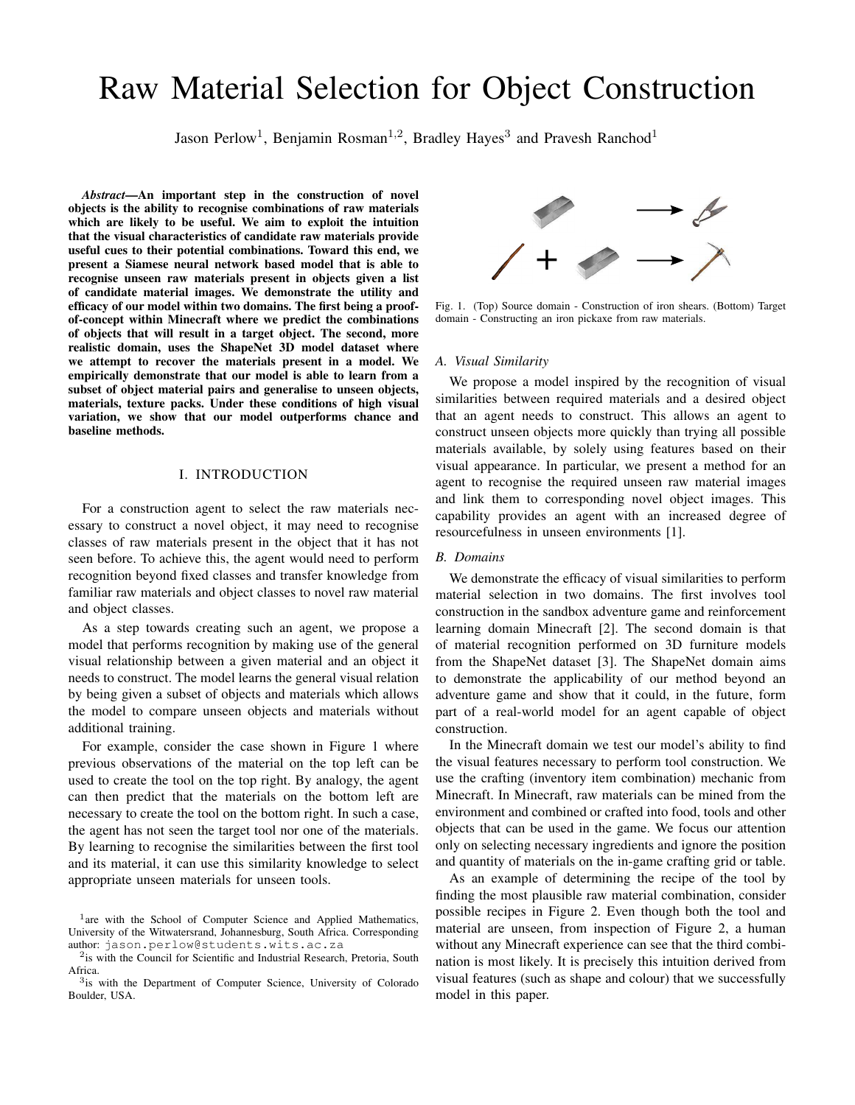# Raw Material Selection for Object Construction

Jason Perlow<sup>1</sup>, Benjamin Rosman<sup>1,2</sup>, Bradley Hayes<sup>3</sup> and Pravesh Ranchod<sup>1</sup>

*Abstract*—An important step in the construction of novel objects is the ability to recognise combinations of raw materials which are likely to be useful. We aim to exploit the intuition that the visual characteristics of candidate raw materials provide useful cues to their potential combinations. Toward this end, we present a Siamese neural network based model that is able to recognise unseen raw materials present in objects given a list of candidate material images. We demonstrate the utility and efficacy of our model within two domains. The first being a proofof-concept within Minecraft where we predict the combinations of objects that will result in a target object. The second, more realistic domain, uses the ShapeNet 3D model dataset where we attempt to recover the materials present in a model. We empirically demonstrate that our model is able to learn from a subset of object material pairs and generalise to unseen objects, materials, texture packs. Under these conditions of high visual variation, we show that our model outperforms chance and baseline methods.

## I. INTRODUCTION

For a construction agent to select the raw materials necessary to construct a novel object, it may need to recognise classes of raw materials present in the object that it has not seen before. To achieve this, the agent would need to perform recognition beyond fixed classes and transfer knowledge from familiar raw materials and object classes to novel raw material and object classes.

As a step towards creating such an agent, we propose a model that performs recognition by making use of the general visual relationship between a given material and an object it needs to construct. The model learns the general visual relation by being given a subset of objects and materials which allows the model to compare unseen objects and materials without additional training.

For example, consider the case shown in Figure 1 where previous observations of the material on the top left can be used to create the tool on the top right. By analogy, the agent can then predict that the materials on the bottom left are necessary to create the tool on the bottom right. In such a case, the agent has not seen the target tool nor one of the materials. By learning to recognise the similarities between the first tool and its material, it can use this similarity knowledge to select appropriate unseen materials for unseen tools.



Fig. 1. (Top) Source domain - Construction of iron shears. (Bottom) Target domain - Constructing an iron pickaxe from raw materials.

## *A. Visual Similarity*

We propose a model inspired by the recognition of visual similarities between required materials and a desired object that an agent needs to construct. This allows an agent to construct unseen objects more quickly than trying all possible materials available, by solely using features based on their visual appearance. In particular, we present a method for an agent to recognise the required unseen raw material images and link them to corresponding novel object images. This capability provides an agent with an increased degree of resourcefulness in unseen environments [1].

## *B. Domains*

We demonstrate the efficacy of visual similarities to perform material selection in two domains. The first involves tool construction in the sandbox adventure game and reinforcement learning domain Minecraft [2]. The second domain is that of material recognition performed on 3D furniture models from the ShapeNet dataset [3]. The ShapeNet domain aims to demonstrate the applicability of our method beyond an adventure game and show that it could, in the future, form part of a real-world model for an agent capable of object construction.

In the Minecraft domain we test our model's ability to find the visual features necessary to perform tool construction. We use the crafting (inventory item combination) mechanic from Minecraft. In Minecraft, raw materials can be mined from the environment and combined or crafted into food, tools and other objects that can be used in the game. We focus our attention only on selecting necessary ingredients and ignore the position and quantity of materials on the in-game crafting grid or table.

As an example of determining the recipe of the tool by finding the most plausible raw material combination, consider possible recipes in Figure 2. Even though both the tool and material are unseen, from inspection of Figure 2, a human without any Minecraft experience can see that the third combination is most likely. It is precisely this intuition derived from visual features (such as shape and colour) that we successfully model in this paper.

<sup>&</sup>lt;sup>1</sup> are with the School of Computer Science and Applied Mathematics, University of the Witwatersrand, Johannesburg, South Africa. Corresponding author: jason.perlow@students.wits.ac.za

<sup>&</sup>lt;sup>2</sup>is with the Council for Scientific and Industrial Research, Pretoria, South Africa.

<sup>&</sup>lt;sup>3</sup>is with the Department of Computer Science, University of Colorado Boulder, USA.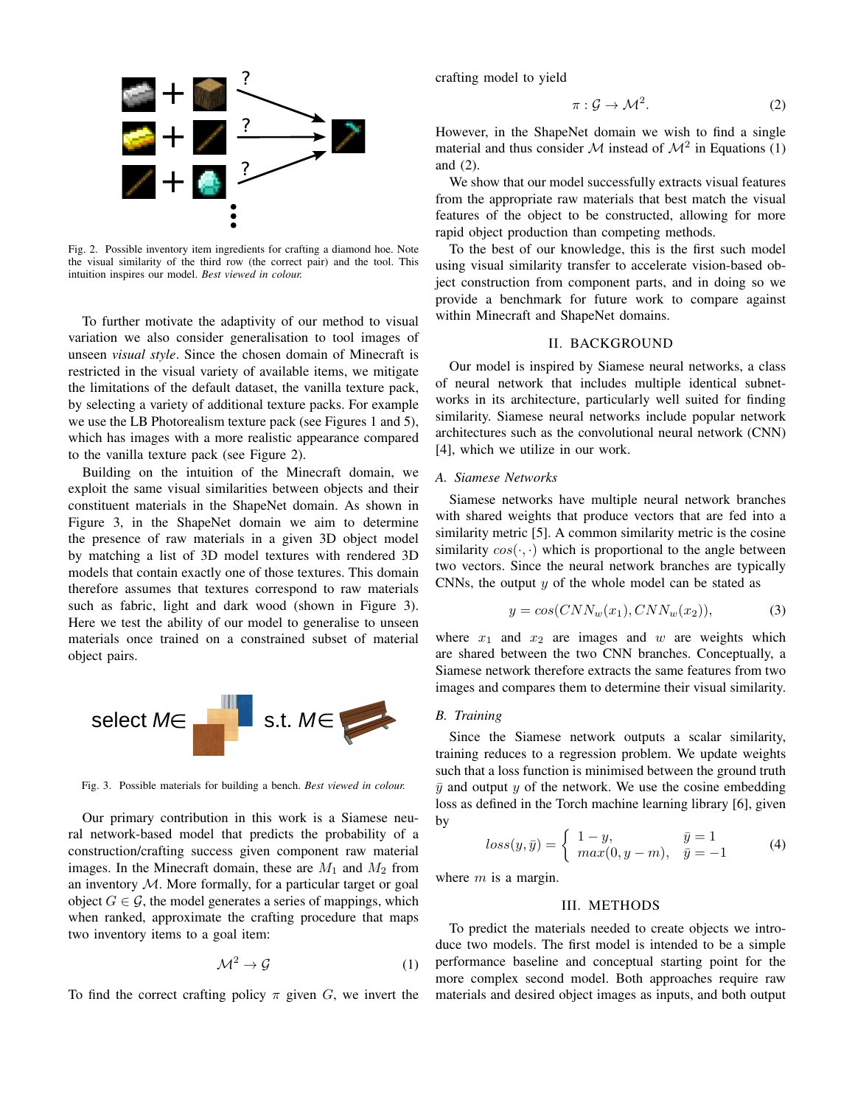

Fig. 2. Possible inventory item ingredients for crafting a diamond hoe. Note the visual similarity of the third row (the correct pair) and the tool. This intuition inspires our model. *Best viewed in colour.*

To further motivate the adaptivity of our method to visual variation we also consider generalisation to tool images of unseen *visual style*. Since the chosen domain of Minecraft is restricted in the visual variety of available items, we mitigate the limitations of the default dataset, the vanilla texture pack, by selecting a variety of additional texture packs. For example we use the LB Photorealism texture pack (see Figures 1 and 5), which has images with a more realistic appearance compared to the vanilla texture pack (see Figure 2).

Building on the intuition of the Minecraft domain, we exploit the same visual similarities between objects and their constituent materials in the ShapeNet domain. As shown in Figure 3, in the ShapeNet domain we aim to determine the presence of raw materials in a given 3D object model by matching a list of 3D model textures with rendered 3D models that contain exactly one of those textures. This domain therefore assumes that textures correspond to raw materials such as fabric, light and dark wood (shown in Figure 3). Here we test the ability of our model to generalise to unseen materials once trained on a constrained subset of material object pairs.



Fig. 3. Possible materials for building a bench. *Best viewed in colour.*

Our primary contribution in this work is a Siamese neural network-based model that predicts the probability of a construction/crafting success given component raw material images. In the Minecraft domain, these are  $M_1$  and  $M_2$  from an inventory  $M$ . More formally, for a particular target or goal object  $G \in \mathcal{G}$ , the model generates a series of mappings, which when ranked, approximate the crafting procedure that maps two inventory items to a goal item:

$$
\mathcal{M}^2 \to \mathcal{G} \tag{1}
$$

To find the correct crafting policy  $\pi$  given G, we invert the

crafting model to yield

$$
\pi: \mathcal{G} \to \mathcal{M}^2. \tag{2}
$$

However, in the ShapeNet domain we wish to find a single material and thus consider M instead of  $\mathcal{M}^2$  in Equations (1) and (2).

We show that our model successfully extracts visual features from the appropriate raw materials that best match the visual features of the object to be constructed, allowing for more rapid object production than competing methods.

To the best of our knowledge, this is the first such model using visual similarity transfer to accelerate vision-based object construction from component parts, and in doing so we provide a benchmark for future work to compare against within Minecraft and ShapeNet domains.

## II. BACKGROUND

Our model is inspired by Siamese neural networks, a class of neural network that includes multiple identical subnetworks in its architecture, particularly well suited for finding similarity. Siamese neural networks include popular network architectures such as the convolutional neural network (CNN) [4], which we utilize in our work.

#### *A. Siamese Networks*

Siamese networks have multiple neural network branches with shared weights that produce vectors that are fed into a similarity metric [5]. A common similarity metric is the cosine similarity  $cos(\cdot, \cdot)$  which is proportional to the angle between two vectors. Since the neural network branches are typically CNNs, the output  $y$  of the whole model can be stated as

$$
y = \cos(CNN_w(x_1), CNN_w(x_2)),\tag{3}
$$

where  $x_1$  and  $x_2$  are images and w are weights which are shared between the two CNN branches. Conceptually, a Siamese network therefore extracts the same features from two images and compares them to determine their visual similarity.

## *B. Training*

Since the Siamese network outputs a scalar similarity, training reduces to a regression problem. We update weights such that a loss function is minimised between the ground truth  $\bar{y}$  and output y of the network. We use the cosine embedding loss as defined in the Torch machine learning library [6], given by

$$
loss(y, \bar{y}) = \begin{cases} 1 - y, & \bar{y} = 1 \\ max(0, y - m), & \bar{y} = -1 \end{cases}
$$
 (4)

where  $m$  is a margin.

# III. METHODS

To predict the materials needed to create objects we introduce two models. The first model is intended to be a simple performance baseline and conceptual starting point for the more complex second model. Both approaches require raw materials and desired object images as inputs, and both output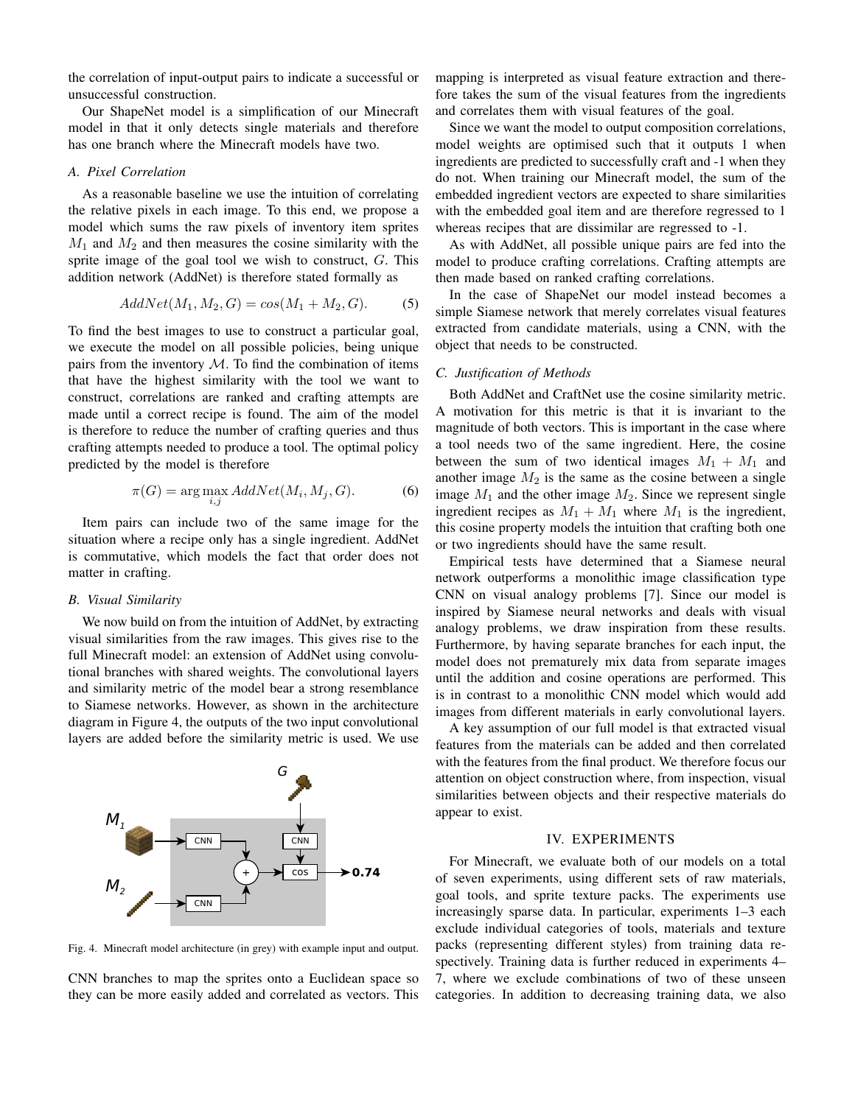the correlation of input-output pairs to indicate a successful or unsuccessful construction.

Our ShapeNet model is a simplification of our Minecraft model in that it only detects single materials and therefore has one branch where the Minecraft models have two.

#### *A. Pixel Correlation*

As a reasonable baseline we use the intuition of correlating the relative pixels in each image. To this end, we propose a model which sums the raw pixels of inventory item sprites  $M_1$  and  $M_2$  and then measures the cosine similarity with the sprite image of the goal tool we wish to construct, G. This addition network (AddNet) is therefore stated formally as

$$
AddNet(M_1, M_2, G) = cos(M_1 + M_2, G).
$$
 (5)

To find the best images to use to construct a particular goal, we execute the model on all possible policies, being unique pairs from the inventory  $M$ . To find the combination of items that have the highest similarity with the tool we want to construct, correlations are ranked and crafting attempts are made until a correct recipe is found. The aim of the model is therefore to reduce the number of crafting queries and thus crafting attempts needed to produce a tool. The optimal policy predicted by the model is therefore

$$
\pi(G) = \arg\max_{i,j} AddNet(M_i, M_j, G). \tag{6}
$$

Item pairs can include two of the same image for the situation where a recipe only has a single ingredient. AddNet is commutative, which models the fact that order does not matter in crafting.

# *B. Visual Similarity*

We now build on from the intuition of AddNet, by extracting visual similarities from the raw images. This gives rise to the full Minecraft model: an extension of AddNet using convolutional branches with shared weights. The convolutional layers and similarity metric of the model bear a strong resemblance to Siamese networks. However, as shown in the architecture diagram in Figure 4, the outputs of the two input convolutional layers are added before the similarity metric is used. We use



Fig. 4. Minecraft model architecture (in grey) with example input and output.

CNN branches to map the sprites onto a Euclidean space so they can be more easily added and correlated as vectors. This mapping is interpreted as visual feature extraction and therefore takes the sum of the visual features from the ingredients and correlates them with visual features of the goal.

Since we want the model to output composition correlations, model weights are optimised such that it outputs 1 when ingredients are predicted to successfully craft and -1 when they do not. When training our Minecraft model, the sum of the embedded ingredient vectors are expected to share similarities with the embedded goal item and are therefore regressed to 1 whereas recipes that are dissimilar are regressed to -1.

As with AddNet, all possible unique pairs are fed into the model to produce crafting correlations. Crafting attempts are then made based on ranked crafting correlations.

In the case of ShapeNet our model instead becomes a simple Siamese network that merely correlates visual features extracted from candidate materials, using a CNN, with the object that needs to be constructed.

#### *C. Justification of Methods*

Both AddNet and CraftNet use the cosine similarity metric. A motivation for this metric is that it is invariant to the magnitude of both vectors. This is important in the case where a tool needs two of the same ingredient. Here, the cosine between the sum of two identical images  $M_1 + M_1$  and another image  $M_2$  is the same as the cosine between a single image  $M_1$  and the other image  $M_2$ . Since we represent single ingredient recipes as  $M_1 + M_1$  where  $M_1$  is the ingredient, this cosine property models the intuition that crafting both one or two ingredients should have the same result.

Empirical tests have determined that a Siamese neural network outperforms a monolithic image classification type CNN on visual analogy problems [7]. Since our model is inspired by Siamese neural networks and deals with visual analogy problems, we draw inspiration from these results. Furthermore, by having separate branches for each input, the model does not prematurely mix data from separate images until the addition and cosine operations are performed. This is in contrast to a monolithic CNN model which would add images from different materials in early convolutional layers.

A key assumption of our full model is that extracted visual features from the materials can be added and then correlated with the features from the final product. We therefore focus our attention on object construction where, from inspection, visual similarities between objects and their respective materials do appear to exist.

## IV. EXPERIMENTS

For Minecraft, we evaluate both of our models on a total of seven experiments, using different sets of raw materials, goal tools, and sprite texture packs. The experiments use increasingly sparse data. In particular, experiments 1–3 each exclude individual categories of tools, materials and texture packs (representing different styles) from training data respectively. Training data is further reduced in experiments 4– 7, where we exclude combinations of two of these unseen categories. In addition to decreasing training data, we also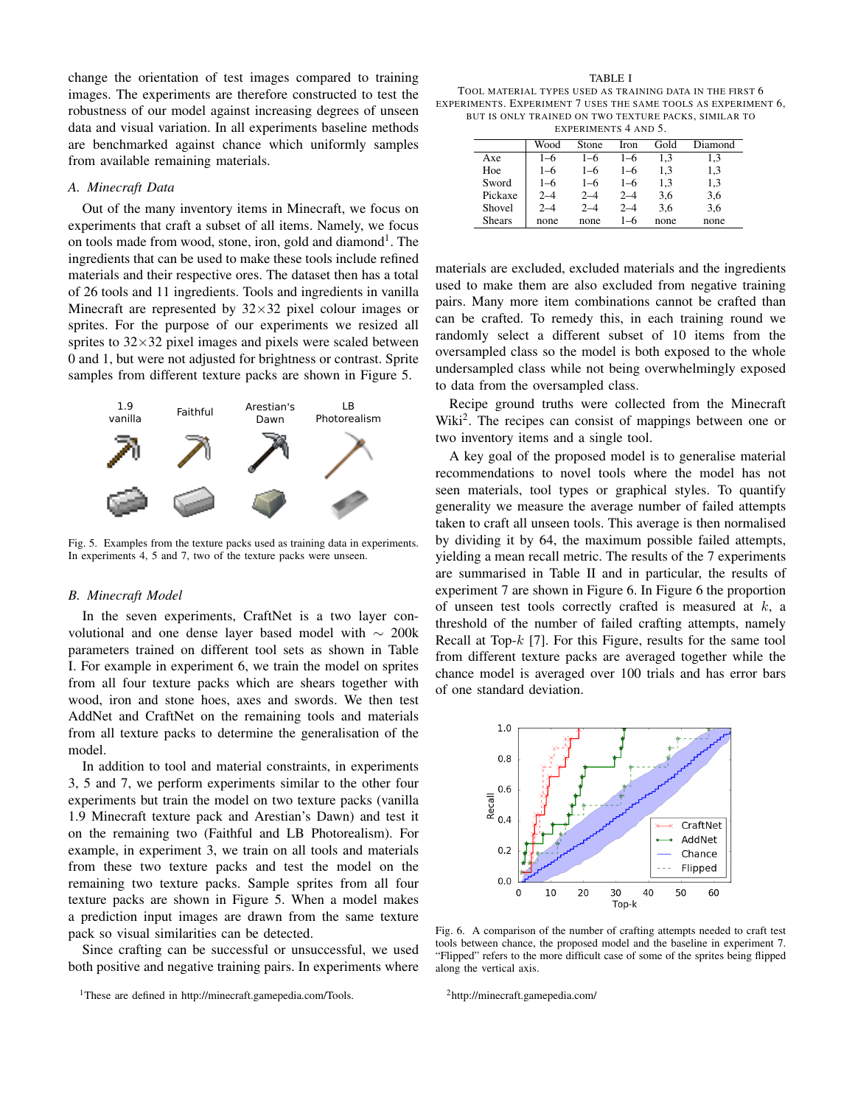change the orientation of test images compared to training images. The experiments are therefore constructed to test the robustness of our model against increasing degrees of unseen data and visual variation. In all experiments baseline methods are benchmarked against chance which uniformly samples from available remaining materials.

#### *A. Minecraft Data*

Out of the many inventory items in Minecraft, we focus on experiments that craft a subset of all items. Namely, we focus on tools made from wood, stone, iron, gold and diamond<sup>1</sup>. The ingredients that can be used to make these tools include refined materials and their respective ores. The dataset then has a total of 26 tools and 11 ingredients. Tools and ingredients in vanilla Minecraft are represented by  $32\times32$  pixel colour images or sprites. For the purpose of our experiments we resized all sprites to  $32\times32$  pixel images and pixels were scaled between 0 and 1, but were not adjusted for brightness or contrast. Sprite samples from different texture packs are shown in Figure 5.



Fig. 5. Examples from the texture packs used as training data in experiments. In experiments 4, 5 and 7, two of the texture packs were unseen.

#### *B. Minecraft Model*

In the seven experiments, CraftNet is a two layer convolutional and one dense layer based model with ∼ 200k parameters trained on different tool sets as shown in Table I. For example in experiment 6, we train the model on sprites from all four texture packs which are shears together with wood, iron and stone hoes, axes and swords. We then test AddNet and CraftNet on the remaining tools and materials from all texture packs to determine the generalisation of the model.

In addition to tool and material constraints, in experiments 3, 5 and 7, we perform experiments similar to the other four experiments but train the model on two texture packs (vanilla 1.9 Minecraft texture pack and Arestian's Dawn) and test it on the remaining two (Faithful and LB Photorealism). For example, in experiment 3, we train on all tools and materials from these two texture packs and test the model on the remaining two texture packs. Sample sprites from all four texture packs are shown in Figure 5. When a model makes a prediction input images are drawn from the same texture pack so visual similarities can be detected.

Since crafting can be successful or unsuccessful, we used both positive and negative training pairs. In experiments where

TABLE I TOOL MATERIAL TYPES USED AS TRAINING DATA IN THE FIRST 6 EXPERIMENTS. EXPERIMENT 7 USES THE SAME TOOLS AS EXPERIMENT 6, BUT IS ONLY TRAINED ON TWO TEXTURE PACKS, SIMILAR TO EXPERIMENTS 4 AND 5.

|               | Wood    | Stone   | Iron    | Gold | Diamond |  |  |
|---------------|---------|---------|---------|------|---------|--|--|
| Axe           | $1 - 6$ | $1 - 6$ | $1 - 6$ | 1.3  | 1,3     |  |  |
| Hoe           | $1 - 6$ | $1 - 6$ | $1 - 6$ | 1.3  | 1,3     |  |  |
| Sword         | $1 - 6$ | $1 - 6$ | $1 - 6$ | 1.3  | 1,3     |  |  |
| Pickaxe       | $2 - 4$ | $2 - 4$ | $2 - 4$ | 3,6  | 3,6     |  |  |
| Shovel        | $2 - 4$ | $2 - 4$ | $2 - 4$ | 3.6  | 3,6     |  |  |
| <b>Shears</b> | none    | none    | $1 - 6$ | none | none    |  |  |

materials are excluded, excluded materials and the ingredients used to make them are also excluded from negative training pairs. Many more item combinations cannot be crafted than can be crafted. To remedy this, in each training round we randomly select a different subset of 10 items from the oversampled class so the model is both exposed to the whole undersampled class while not being overwhelmingly exposed to data from the oversampled class.

Recipe ground truths were collected from the Minecraft Wiki<sup>2</sup>. The recipes can consist of mappings between one or two inventory items and a single tool.

A key goal of the proposed model is to generalise material recommendations to novel tools where the model has not seen materials, tool types or graphical styles. To quantify generality we measure the average number of failed attempts taken to craft all unseen tools. This average is then normalised by dividing it by 64, the maximum possible failed attempts, yielding a mean recall metric. The results of the 7 experiments are summarised in Table II and in particular, the results of experiment 7 are shown in Figure 6. In Figure 6 the proportion of unseen test tools correctly crafted is measured at  $k$ , a threshold of the number of failed crafting attempts, namely Recall at Top-k [7]. For this Figure, results for the same tool from different texture packs are averaged together while the chance model is averaged over 100 trials and has error bars of one standard deviation.



Fig. 6. A comparison of the number of crafting attempts needed to craft test tools between chance, the proposed model and the baseline in experiment 7. "Flipped" refers to the more difficult case of some of the sprites being flipped along the vertical axis.

<sup>2</sup>http://minecraft.gamepedia.com/

<sup>&</sup>lt;sup>1</sup>These are defined in http://minecraft.gamepedia.com/Tools.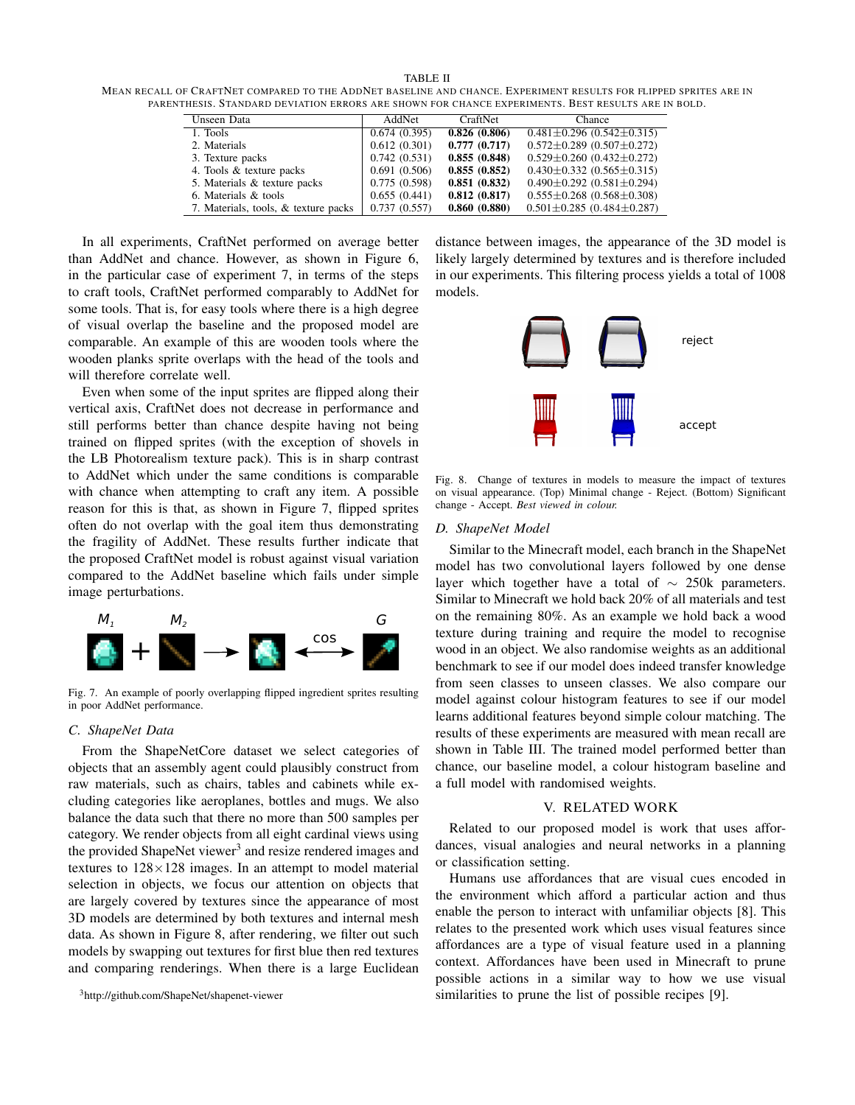TABLE II MEAN RECALL OF CRAFTNET COMPARED TO THE ADDNET BASELINE AND CHANCE. EXPERIMENT RESULTS FOR FLIPPED SPRITES ARE IN PARENTHESIS. STANDARD DEVIATION ERRORS ARE SHOWN FOR CHANCE EXPERIMENTS. BEST RESULTS ARE IN BOLD.

| Unseen Data                          | AddNet       | CraftNet     | Chance                                |
|--------------------------------------|--------------|--------------|---------------------------------------|
| 1. Tools                             | 0.674(0.395) | 0.826(0.806) | $0.481 \pm 0.296$ (0.542 $\pm$ 0.315) |
| 2. Materials                         | 0.612(0.301) | 0.777(0.717) | $0.572 \pm 0.289$ (0.507 $\pm$ 0.272) |
| 3. Texture packs                     | 0.742(0.531) | 0.855(0.848) | $0.529 \pm 0.260$ (0.432 $\pm$ 0.272) |
| 4. Tools & texture packs             | 0.691(0.506) | 0.855(0.852) | $0.430 \pm 0.332$ $(0.565 \pm 0.315)$ |
| 5. Materials & texture packs         | 0.775(0.598) | 0.851(0.832) | $0.490 \pm 0.292$ (0.581 $\pm$ 0.294) |
| 6. Materials & tools                 | 0.655(0.441) | 0.812(0.817) | $0.555 \pm 0.268$ (0.568 $\pm$ 0.308) |
| 7. Materials, tools, & texture packs | 0.737(0.557) | 0.860(0.880) | $0.501 \pm 0.285$ (0.484 $\pm$ 0.287) |

In all experiments, CraftNet performed on average better than AddNet and chance. However, as shown in Figure 6, in the particular case of experiment 7, in terms of the steps to craft tools, CraftNet performed comparably to AddNet for some tools. That is, for easy tools where there is a high degree of visual overlap the baseline and the proposed model are comparable. An example of this are wooden tools where the wooden planks sprite overlaps with the head of the tools and will therefore correlate well.

Even when some of the input sprites are flipped along their vertical axis, CraftNet does not decrease in performance and still performs better than chance despite having not being trained on flipped sprites (with the exception of shovels in the LB Photorealism texture pack). This is in sharp contrast to AddNet which under the same conditions is comparable with chance when attempting to craft any item. A possible reason for this is that, as shown in Figure 7, flipped sprites often do not overlap with the goal item thus demonstrating the fragility of AddNet. These results further indicate that the proposed CraftNet model is robust against visual variation compared to the AddNet baseline which fails under simple image perturbations.



Fig. 7. An example of poorly overlapping flipped ingredient sprites resulting in poor AddNet performance.

#### *C. ShapeNet Data*

From the ShapeNetCore dataset we select categories of objects that an assembly agent could plausibly construct from raw materials, such as chairs, tables and cabinets while excluding categories like aeroplanes, bottles and mugs. We also balance the data such that there no more than 500 samples per category. We render objects from all eight cardinal views using the provided ShapeNet viewer<sup>3</sup> and resize rendered images and textures to  $128 \times 128$  images. In an attempt to model material selection in objects, we focus our attention on objects that are largely covered by textures since the appearance of most 3D models are determined by both textures and internal mesh data. As shown in Figure 8, after rendering, we filter out such models by swapping out textures for first blue then red textures and comparing renderings. When there is a large Euclidean

<sup>3</sup>http://github.com/ShapeNet/shapenet-viewer

distance between images, the appearance of the 3D model is likely largely determined by textures and is therefore included in our experiments. This filtering process yields a total of 1008 models.



Fig. 8. Change of textures in models to measure the impact of textures on visual appearance. (Top) Minimal change - Reject. (Bottom) Significant change - Accept. *Best viewed in colour.*

#### *D. ShapeNet Model*

Similar to the Minecraft model, each branch in the ShapeNet model has two convolutional layers followed by one dense layer which together have a total of  $\sim$  250k parameters. Similar to Minecraft we hold back 20% of all materials and test on the remaining 80%. As an example we hold back a wood texture during training and require the model to recognise wood in an object. We also randomise weights as an additional benchmark to see if our model does indeed transfer knowledge from seen classes to unseen classes. We also compare our model against colour histogram features to see if our model learns additional features beyond simple colour matching. The results of these experiments are measured with mean recall are shown in Table III. The trained model performed better than chance, our baseline model, a colour histogram baseline and a full model with randomised weights.

## V. RELATED WORK

Related to our proposed model is work that uses affordances, visual analogies and neural networks in a planning or classification setting.

Humans use affordances that are visual cues encoded in the environment which afford a particular action and thus enable the person to interact with unfamiliar objects [8]. This relates to the presented work which uses visual features since affordances are a type of visual feature used in a planning context. Affordances have been used in Minecraft to prune possible actions in a similar way to how we use visual similarities to prune the list of possible recipes [9].